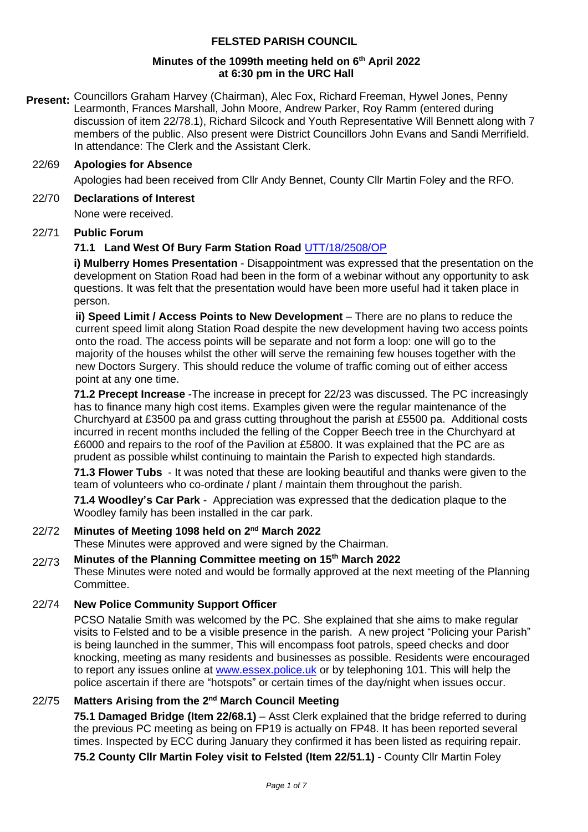## **FELSTED PARISH COUNCIL**

## **Minutes of the 1099th meeting held on 6 th April 2022 at 6:30 pm in the URC Hall**

**Present:** Councillors Graham Harvey (Chairman), Alec Fox, Richard Freeman, Hywel Jones, Penny Learmonth, Frances Marshall, John Moore, Andrew Parker, Roy Ramm (entered during discussion of item 22/78.1), Richard Silcock and Youth Representative Will Bennett along with 7 members of the public. Also present were District Councillors John Evans and Sandi Merrifield. In attendance: The Clerk and the Assistant Clerk.

## 22/69 **Apologies for Absence**

Apologies had been received from Cllr Andy Bennet, County Cllr Martin Foley and the RFO.

#### 22/70 **Declarations of Interest**

None were received.

## 22/71 **Public Forum**

## **71.1 Land West Of Bury Farm Station Road** [UTT/18/2508/OP](https://publicaccess.uttlesford.gov.uk/online-applications/advancedSearchResults.do?action=firstPage)

**i) Mulberry Homes Presentation** - Disappointment was expressed that the presentation on the development on Station Road had been in the form of a webinar without any opportunity to ask questions. It was felt that the presentation would have been more useful had it taken place in person.

**ii) Speed Limit / Access Points to New Development** – There are no plans to reduce the current speed limit along Station Road despite the new development having two access points onto the road. The access points will be separate and not form a loop: one will go to the majority of the houses whilst the other will serve the remaining few houses together with the new Doctors Surgery. This should reduce the volume of traffic coming out of either access point at any one time.

**71.2 Precept Increase** -The increase in precept for 22/23 was discussed. The PC increasingly has to finance many high cost items. Examples given were the regular maintenance of the Churchyard at £3500 pa and grass cutting throughout the parish at £5500 pa. Additional costs incurred in recent months included the felling of the Copper Beech tree in the Churchyard at £6000 and repairs to the roof of the Pavilion at £5800. It was explained that the PC are as prudent as possible whilst continuing to maintain the Parish to expected high standards.

**71.3 Flower Tubs** - It was noted that these are looking beautiful and thanks were given to the team of volunteers who co-ordinate / plant / maintain them throughout the parish.

**71.4 Woodley's Car Park** - Appreciation was expressed that the dedication plaque to the Woodley family has been installed in the car park.

## 22/72 Minutes of Meeting 1098 held on 2<sup>nd</sup> March 2022

These Minutes were approved and were signed by the Chairman.

## 22/73 **Minutes of the Planning Committee meeting on 15th March 2022**

These Minutes were noted and would be formally approved at the next meeting of the Planning Committee.

## 22/74 **New Police Community Support Officer**

PCSO Natalie Smith was welcomed by the PC. She explained that she aims to make regular visits to Felsted and to be a visible presence in the parish. A new project "Policing your Parish" is being launched in the summer, This will encompass foot patrols, speed checks and door knocking, meeting as many residents and businesses as possible. Residents were encouraged to report any issues online at [www.essex.police.uk](http://www.essex.police.uk/) or by telephoning 101. This will help the police ascertain if there are "hotspots" or certain times of the day/night when issues occur.

## 22/75 **Matters Arising from the 2 nd March Council Meeting**

**75.1 Damaged Bridge (Item 22/68.1)** – Asst Clerk explained that the bridge referred to during the previous PC meeting as being on FP19 is actually on FP48. It has been reported several times. Inspected by ECC during January they confirmed it has been listed as requiring repair.

**75.2 County Cllr Martin Foley visit to Felsted (Item 22/51.1)** - County Cllr Martin Foley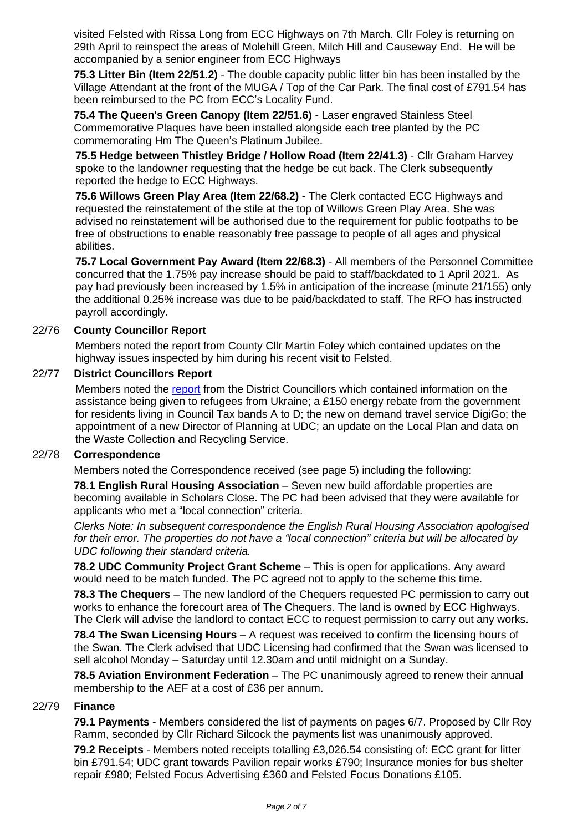visited Felsted with Rissa Long from ECC Highways on 7th March. Cllr Foley is returning on 29th April to reinspect the areas of Molehill Green, Milch Hill and Causeway End. He will be accompanied by a senior engineer from ECC Highways

**75.3 Litter Bin (Item 22/51.2)** - The double capacity public litter bin has been installed by the Village Attendant at the front of the MUGA / Top of the Car Park. The final cost of £791.54 has been reimbursed to the PC from ECC's Locality Fund.

**75.4 The Queen's Green Canopy (Item 22/51.6)** - Laser engraved Stainless Steel Commemorative Plaques have been installed alongside each tree planted by the PC commemorating Hm The Queen's Platinum Jubilee.

**75.5 Hedge between Thistley Bridge / Hollow Road (Item 22/41.3)** - Cllr Graham Harvey spoke to the landowner requesting that the hedge be cut back. The Clerk subsequently reported the hedge to ECC Highways.

**75.6 Willows Green Play Area (Item 22/68.2)** - The Clerk contacted ECC Highways and requested the reinstatement of the stile at the top of Willows Green Play Area. She was advised no reinstatement will be authorised due to the requirement for public footpaths to be free of obstructions to enable reasonably free passage to people of all ages and physical abilities.

**75.7 Local Government Pay Award (Item 22/68.3)** - All members of the Personnel Committee concurred that the 1.75% pay increase should be paid to staff/backdated to 1 April 2021. As pay had previously been increased by 1.5% in anticipation of the increase (minute 21/155) only the additional 0.25% increase was due to be paid/backdated to staff. The RFO has instructed payroll accordingly.

## 22/76 **County Councillor Report**

Members noted the report from County Cllr Martin Foley which contained updates on the highway issues inspected by him during his recent visit to Felsted.

## 22/77 **District Councillors Report**

Members noted the [report](https://www.felsted-pc.gov.uk/wp-content/uploads/DC-Report-April-2022.pdf) from the District Councillors which contained information on the assistance being given to refugees from Ukraine; a £150 energy rebate from the government for residents living in Council Tax bands A to D; the new on demand travel service DigiGo; the appointment of a new Director of Planning at UDC; an update on the Local Plan and data on the Waste Collection and Recycling Service.

## 22/78 **Correspondence**

Members noted the Correspondence received (see page 5) including the following:

**78.1 English Rural Housing Association** – Seven new build affordable properties are becoming available in Scholars Close. The PC had been advised that they were available for applicants who met a "local connection" criteria.

*Clerks Note: In subsequent correspondence the English Rural Housing Association apologised for their error. The properties do not have a "local connection" criteria but will be allocated by UDC following their standard criteria.*

**78.2 UDC Community Project Grant Scheme** - This is open for applications. Any award would need to be match funded. The PC agreed not to apply to the scheme this time.

**78.3 The Chequers** – The new landlord of the Chequers requested PC permission to carry out works to enhance the forecourt area of The Chequers. The land is owned by ECC Highways. The Clerk will advise the landlord to contact ECC to request permission to carry out any works.

**78.4 The Swan Licensing Hours** – A request was received to confirm the licensing hours of the Swan. The Clerk advised that UDC Licensing had confirmed that the Swan was licensed to sell alcohol Monday – Saturday until 12.30am and until midnight on a Sunday.

**78.5 Aviation Environment Federation** – The PC unanimously agreed to renew their annual membership to the AEF at a cost of £36 per annum.

## 22/79 **Finance**

**79.1 Payments** - Members considered the list of payments on pages 6/7. Proposed by Cllr Roy Ramm, seconded by Cllr Richard Silcock the payments list was unanimously approved.

**79.2 Receipts** - Members noted receipts totalling £3,026.54 consisting of: ECC grant for litter bin £791.54; UDC grant towards Pavilion repair works £790; Insurance monies for bus shelter repair £980; Felsted Focus Advertising £360 and Felsted Focus Donations £105.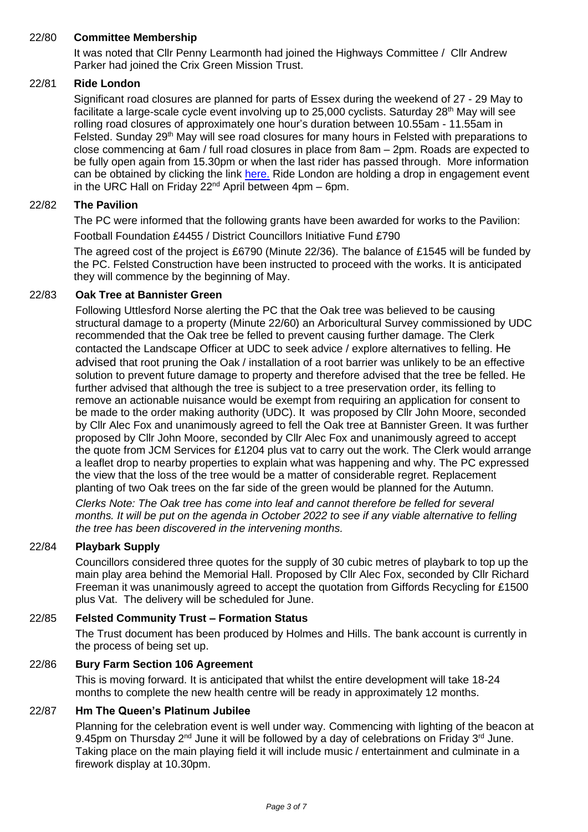## 22/80 **Committee Membership**

It was noted that Cllr Penny Learmonth had joined the Highways Committee / Cllr Andrew Parker had joined the Crix Green Mission Trust.

## 22/81 **Ride London**

Significant road closures are planned for parts of Essex during the weekend of 27 - 29 May to facilitate a large-scale cycle event involving up to 25,000 cyclists. Saturday 28<sup>th</sup> May will see rolling road closures of approximately one hour's duration between 10.55am - 11.55am in Felsted. Sunday 29<sup>th</sup> May will see road closures for many hours in Felsted with preparations to close commencing at 6am / full road closures in place from 8am – 2pm. Roads are expected to be fully open again from 15.30pm or when the last rider has passed through. More information can be obtained by clicking the link [here.](https://www.ridelondon.co.uk/) Ride London are holding a drop in engagement event in the URC Hall on Friday  $22<sup>nd</sup>$  April between 4pm – 6pm.

## 22/82 **The Pavilion**

The PC were informed that the following grants have been awarded for works to the Pavilion:

Football Foundation £4455 / District Councillors Initiative Fund £790

The agreed cost of the project is £6790 (Minute 22/36). The balance of £1545 will be funded by the PC. Felsted Construction have been instructed to proceed with the works. It is anticipated they will commence by the beginning of May.

## 22/83 **Oak Tree at Bannister Green**

Following Uttlesford Norse alerting the PC that the Oak tree was believed to be causing structural damage to a property (Minute 22/60) an Arboricultural Survey commissioned by UDC recommended that the Oak tree be felled to prevent causing further damage. The Clerk contacted the Landscape Officer at UDC to seek advice / explore alternatives to felling. He advised that root pruning the Oak / installation of a root barrier was unlikely to be an effective solution to prevent future damage to property and therefore advised that the tree be felled. He further advised that although the tree is subject to a tree preservation order, its felling to remove an actionable nuisance would be exempt from requiring an application for consent to be made to the order making authority (UDC). It was proposed by Cllr John Moore, seconded by Cllr Alec Fox and unanimously agreed to fell the Oak tree at Bannister Green. It was further proposed by Cllr John Moore, seconded by Cllr Alec Fox and unanimously agreed to accept the quote from JCM Services for £1204 plus vat to carry out the work. The Clerk would arrange a leaflet drop to nearby properties to explain what was happening and why. The PC expressed the view that the loss of the tree would be a matter of considerable regret. Replacement planting of two Oak trees on the far side of the green would be planned for the Autumn.

*Clerks Note: The Oak tree has come into leaf and cannot therefore be felled for several months. It will be put on the agenda in October 2022 to see if any viable alternative to felling the tree has been discovered in the intervening months.*

## 22/84 **Playbark Supply**

Councillors considered three quotes for the supply of 30 cubic metres of playbark to top up the main play area behind the Memorial Hall. Proposed by Cllr Alec Fox, seconded by Cllr Richard Freeman it was unanimously agreed to accept the quotation from Giffords Recycling for £1500 plus Vat. The delivery will be scheduled for June.

#### 22/85 **Felsted Community Trust – Formation Status**

The Trust document has been produced by Holmes and Hills. The bank account is currently in the process of being set up.

#### 22/86 **Bury Farm Section 106 Agreement**

This is moving forward. It is anticipated that whilst the entire development will take 18-24 months to complete the new health centre will be ready in approximately 12 months.

## 22/87 **Hm The Queen's Platinum Jubilee**

Planning for the celebration event is well under way. Commencing with lighting of the beacon at 9.45pm on Thursday  $2^{nd}$  June it will be followed by a day of celebrations on Friday  $3^{rd}$  June. Taking place on the main playing field it will include music / entertainment and culminate in a firework display at 10.30pm.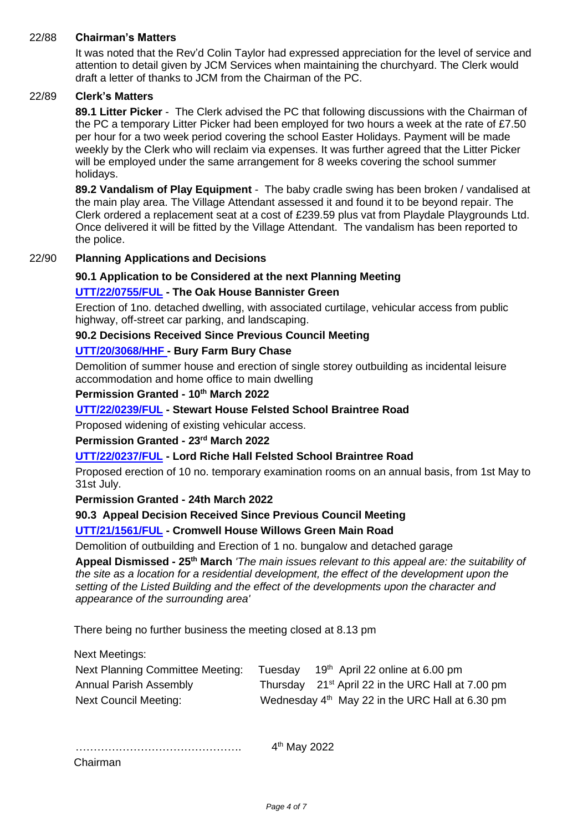## 22/88 **Chairman's Matters**

It was noted that the Rev'd Colin Taylor had expressed appreciation for the level of service and attention to detail given by JCM Services when maintaining the churchyard. The Clerk would draft a letter of thanks to JCM from the Chairman of the PC.

#### 22/89 **Clerk's Matters**

**89.1 Litter Picker** - The Clerk advised the PC that following discussions with the Chairman of the PC a temporary Litter Picker had been employed for two hours a week at the rate of £7.50 per hour for a two week period covering the school Easter Holidays. Payment will be made weekly by the Clerk who will reclaim via expenses. It was further agreed that the Litter Picker will be employed under the same arrangement for 8 weeks covering the school summer holidays.

**89.2 Vandalism of Play Equipment** - The baby cradle swing has been broken / vandalised at the main play area. The Village Attendant assessed it and found it to be beyond repair. The Clerk ordered a replacement seat at a cost of £239.59 plus vat from Playdale Playgrounds Ltd. Once delivered it will be fitted by the Village Attendant. The vandalism has been reported to the police.

## 22/90 **Planning Applications and Decisions**

## **90.1 Application to be Considered at the next Planning Meeting**

## **[UTT/22/0755/FUL](https://publicaccess.uttlesford.gov.uk/online-applications/applicationDetails.do?activeTab=summary&keyVal=R8U7ELQNLDQ00) - The Oak House Bannister Green**

Erection of 1no. detached dwelling, with associated curtilage, vehicular access from public highway, off-street car parking, and landscaping.

#### **90.2 Decisions Received Since Previous Council Meeting**

#### **[UTT/20/3068/HHF -](https://publicaccess.uttlesford.gov.uk/online-applications/applicationDetails.do?activeTab=summary&keyVal=QKAN3SQNMDL00) Bury Farm Bury Chase**

Demolition of summer house and erection of single storey outbuilding as incidental leisure accommodation and home office to main dwelling

## **Permission Granted - 10th March 2022**

#### **[UTT/22/0239/FUL](https://publicaccess.uttlesford.gov.uk/online-applications/applicationDetails.do?activeTab=summary&keyVal=R6DFM1QNJWP00) - Stewart House Felsted School Braintree Road**

Proposed widening of existing vehicular access.

#### **Permission Granted - 23rd March 2022**

## **[UTT/22/0237/FUL](https://publicaccess.uttlesford.gov.uk/online-applications/applicationDetails.do?activeTab=summary&keyVal=R6DE7LQNJWK00) - Lord Riche Hall Felsted School Braintree Road**

Proposed erection of 10 no. temporary examination rooms on an annual basis, from 1st May to 31st July.

#### **Permission Granted - 24th March 2022**

#### **90.3 Appeal Decision Received Since Previous Council Meeting**

#### **[UTT/21/1561/FUL](https://publicaccess.uttlesford.gov.uk/online-applications/applicationDetails.do?activeTab=summary&keyVal=QSORN9QNJSH00) - Cromwell House Willows Green Main Road**

Demolition of outbuilding and Erection of 1 no. bungalow and detached garage

**Appeal Dismissed - 25th March** *'The main issues relevant to this appeal are: the suitability of the site as a location for a residential development, the effect of the development upon the setting of the Listed Building and the effect of the developments upon the character and appearance of the surrounding area'*

There being no further business the meeting closed at 8.13 pm

Next Meetings:

| Next Planning Committee Meeting: | Tuesday | 19 <sup>th</sup> April 22 online at 6.00 pm                   |
|----------------------------------|---------|---------------------------------------------------------------|
| <b>Annual Parish Assembly</b>    |         | Thursday 21 <sup>st</sup> April 22 in the URC Hall at 7.00 pm |
| Next Council Meeting:            |         | Wednesday 4 <sup>th</sup> May 22 in the URC Hall at 6.30 pm   |

……………………………………………………… 4<sup>th</sup> May 2022

Chairman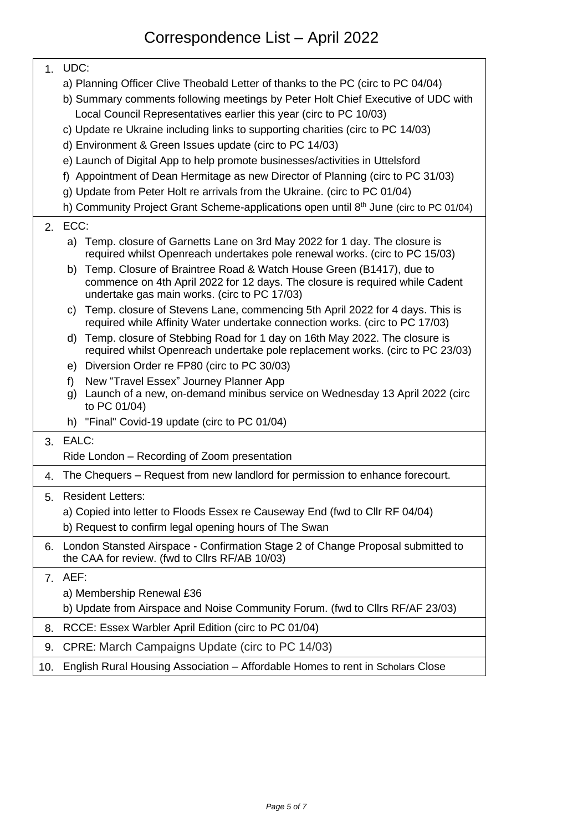# Correspondence List – April 2022

|     | 1. UDC:                                                                                                                                                                                                                                                                                                                                                                                                                                                                                                                                                                                                                                                                                                                                        |  |  |  |  |  |  |
|-----|------------------------------------------------------------------------------------------------------------------------------------------------------------------------------------------------------------------------------------------------------------------------------------------------------------------------------------------------------------------------------------------------------------------------------------------------------------------------------------------------------------------------------------------------------------------------------------------------------------------------------------------------------------------------------------------------------------------------------------------------|--|--|--|--|--|--|
|     | a) Planning Officer Clive Theobald Letter of thanks to the PC (circ to PC 04/04)<br>b) Summary comments following meetings by Peter Holt Chief Executive of UDC with<br>Local Council Representatives earlier this year (circ to PC 10/03)<br>c) Update re Ukraine including links to supporting charities (circ to PC 14/03)<br>d) Environment & Green Issues update (circ to PC 14/03)<br>e) Launch of Digital App to help promote businesses/activities in Uttelsford<br>f) Appointment of Dean Hermitage as new Director of Planning (circ to PC 31/03)<br>g) Update from Peter Holt re arrivals from the Ukraine. (circ to PC 01/04)<br>h) Community Project Grant Scheme-applications open until 8 <sup>th</sup> June (circ to PC 01/04) |  |  |  |  |  |  |
|     | 2. ECC:                                                                                                                                                                                                                                                                                                                                                                                                                                                                                                                                                                                                                                                                                                                                        |  |  |  |  |  |  |
|     | a) Temp. closure of Garnetts Lane on 3rd May 2022 for 1 day. The closure is<br>required whilst Openreach undertakes pole renewal works. (circ to PC 15/03)<br>b) Temp. Closure of Braintree Road & Watch House Green (B1417), due to<br>commence on 4th April 2022 for 12 days. The closure is required while Cadent<br>undertake gas main works. (circ to PC 17/03)                                                                                                                                                                                                                                                                                                                                                                           |  |  |  |  |  |  |
|     | c) Temp. closure of Stevens Lane, commencing 5th April 2022 for 4 days. This is<br>required while Affinity Water undertake connection works. (circ to PC 17/03)                                                                                                                                                                                                                                                                                                                                                                                                                                                                                                                                                                                |  |  |  |  |  |  |
|     | Temp. closure of Stebbing Road for 1 day on 16th May 2022. The closure is<br>d)<br>required whilst Openreach undertake pole replacement works. (circ to PC 23/03)                                                                                                                                                                                                                                                                                                                                                                                                                                                                                                                                                                              |  |  |  |  |  |  |
|     | e) Diversion Order re FP80 (circ to PC 30/03)                                                                                                                                                                                                                                                                                                                                                                                                                                                                                                                                                                                                                                                                                                  |  |  |  |  |  |  |
|     | New "Travel Essex" Journey Planner App<br>$f$ )<br>g) Launch of a new, on-demand minibus service on Wednesday 13 April 2022 (circ<br>to PC 01/04)                                                                                                                                                                                                                                                                                                                                                                                                                                                                                                                                                                                              |  |  |  |  |  |  |
|     | h) "Final" Covid-19 update (circ to PC 01/04)                                                                                                                                                                                                                                                                                                                                                                                                                                                                                                                                                                                                                                                                                                  |  |  |  |  |  |  |
|     | 3. EALC:                                                                                                                                                                                                                                                                                                                                                                                                                                                                                                                                                                                                                                                                                                                                       |  |  |  |  |  |  |
|     | Ride London - Recording of Zoom presentation                                                                                                                                                                                                                                                                                                                                                                                                                                                                                                                                                                                                                                                                                                   |  |  |  |  |  |  |
| 4.  | The Chequers – Request from new landlord for permission to enhance forecourt.                                                                                                                                                                                                                                                                                                                                                                                                                                                                                                                                                                                                                                                                  |  |  |  |  |  |  |
| 5.  | <b>Resident Letters:</b>                                                                                                                                                                                                                                                                                                                                                                                                                                                                                                                                                                                                                                                                                                                       |  |  |  |  |  |  |
|     | a) Copied into letter to Floods Essex re Causeway End (fwd to Cllr RF 04/04)<br>b) Request to confirm legal opening hours of The Swan                                                                                                                                                                                                                                                                                                                                                                                                                                                                                                                                                                                                          |  |  |  |  |  |  |
| 6.  | London Stansted Airspace - Confirmation Stage 2 of Change Proposal submitted to<br>the CAA for review. (fwd to Cllrs RF/AB 10/03)                                                                                                                                                                                                                                                                                                                                                                                                                                                                                                                                                                                                              |  |  |  |  |  |  |
| 7.  | AEF:                                                                                                                                                                                                                                                                                                                                                                                                                                                                                                                                                                                                                                                                                                                                           |  |  |  |  |  |  |
|     | a) Membership Renewal £36                                                                                                                                                                                                                                                                                                                                                                                                                                                                                                                                                                                                                                                                                                                      |  |  |  |  |  |  |
|     | b) Update from Airspace and Noise Community Forum. (fwd to Cllrs RF/AF 23/03)                                                                                                                                                                                                                                                                                                                                                                                                                                                                                                                                                                                                                                                                  |  |  |  |  |  |  |
| 8.  | RCCE: Essex Warbler April Edition (circ to PC 01/04)                                                                                                                                                                                                                                                                                                                                                                                                                                                                                                                                                                                                                                                                                           |  |  |  |  |  |  |
| 9.  | CPRE: March Campaigns Update (circ to PC 14/03)                                                                                                                                                                                                                                                                                                                                                                                                                                                                                                                                                                                                                                                                                                |  |  |  |  |  |  |
| 10. | English Rural Housing Association - Affordable Homes to rent in Scholars Close                                                                                                                                                                                                                                                                                                                                                                                                                                                                                                                                                                                                                                                                 |  |  |  |  |  |  |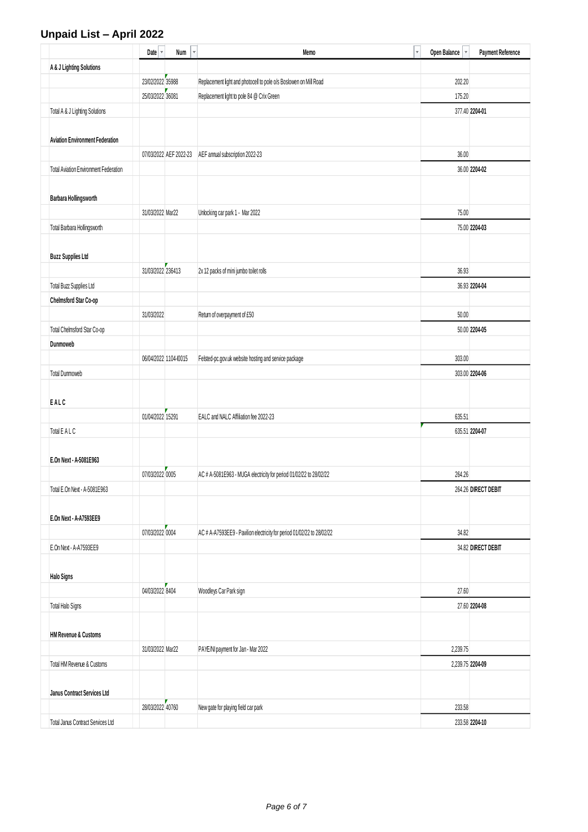## **Unpaid List – April 2022**

|                                        | Date v            | $\overline{\mathbf v}$<br>Num | $\bar{\mathbf{v}}$<br>Memo                                             | Open Balance | <b>Payment Reference</b> |
|----------------------------------------|-------------------|-------------------------------|------------------------------------------------------------------------|--------------|--------------------------|
| A & J Lighting Solutions               |                   |                               |                                                                        |              |                          |
|                                        | 23/02/2022 35988  |                               | Replacement light and photocell to pole o/s Boslowen on Mill Road      | 202.20       |                          |
|                                        | 25/03/2022 36081  |                               | Replacement light to pole 84 @ Crix Green                              | 175.20       |                          |
| Total A & J Lighting Solutions         |                   |                               |                                                                        |              | 377.40 2204-01           |
|                                        |                   |                               |                                                                        |              |                          |
| <b>Aviation Environment Federation</b> |                   |                               |                                                                        |              |                          |
|                                        |                   | 07/03/2022 AEF 2022-23        | AEF annual subscription 2022-23                                        | 36.00        |                          |
| Total Aviation Environment Federation  |                   |                               |                                                                        |              | 36.00 2204-02            |
|                                        |                   |                               |                                                                        |              |                          |
| <b>Barbara Hollingsworth</b>           |                   |                               |                                                                        |              |                          |
|                                        | 31/03/2022 Mar22  |                               | Unlocking car park 1 - Mar 2022                                        | 75.00        |                          |
| Total Barbara Hollingsworth            |                   |                               |                                                                        |              | 75.00 2204-03            |
|                                        |                   |                               |                                                                        |              |                          |
| <b>Buzz Supplies Ltd</b>               |                   |                               |                                                                        |              |                          |
|                                        | 31/03/2022 236413 |                               | 2x 12 packs of mini jumbo toilet rolls                                 | 36.93        |                          |
| Total Buzz Supplies Ltd                |                   |                               |                                                                        |              | 36.93 2204-04            |
| Chelmsford Star Co-op                  |                   |                               |                                                                        |              |                          |
|                                        | 31/03/2022        |                               | Return of overpayment of £50                                           | 50.00        |                          |
| Total Chelmsford Star Co-op            |                   |                               |                                                                        |              | 50.00 2204-05            |
| Dunmoweb                               |                   |                               |                                                                        |              |                          |
|                                        |                   | 06/04/2022 1104-00015         | Felsted-pc.gov.uk website hosting and service package                  | 303.00       |                          |
| <b>Total Dunmoweb</b>                  |                   |                               |                                                                        |              | 303.00 2204-06           |
| EALC                                   |                   |                               |                                                                        |              |                          |
|                                        | 01/04/2022 15291  |                               | EALC and NALC Affiliation fee 2022-23                                  | 635.51       |                          |
| Total E A L C                          |                   |                               |                                                                        |              | 635.51 2204-07           |
|                                        |                   |                               |                                                                        |              |                          |
| E.On Next - A-5081E963                 |                   |                               |                                                                        |              |                          |
|                                        | 07/03/2022 0005   |                               | AC # A-5081E963 - MUGA electricity for period 01/02/22 to 28/02/22     | 264.26       |                          |
| Total E.On Next - A-5081E963           |                   |                               |                                                                        |              | 264.26 DIRECT DEBIT      |
|                                        |                   |                               |                                                                        |              |                          |
| E.On Next - A-A7593EE9                 |                   |                               |                                                                        |              |                          |
|                                        | 07/03/2022 0004   |                               | AC # A-A7593EE9 - Pavilion electricity for period 01/02/22 to 28/02/22 | 34.82        |                          |
| E.On Next - A-A7593EE9                 |                   |                               |                                                                        |              | 34.82 DIRECT DEBIT       |
|                                        |                   |                               |                                                                        |              |                          |
| <b>Halo Signs</b>                      |                   |                               |                                                                        |              |                          |
|                                        | 04/03/2022 8404   |                               | Woodleys Car Park sign                                                 | 27.60        |                          |
| Total Halo Signs                       |                   |                               |                                                                        |              | 27.60 2204-08            |
|                                        |                   |                               |                                                                        |              |                          |
| <b>HM Revenue &amp; Customs</b>        |                   |                               |                                                                        |              |                          |
|                                        | 31/03/2022 Mar22  |                               | PAYE/NI payment for Jan - Mar 2022                                     | 2,239.75     |                          |
| Total HM Revenue & Customs             |                   |                               |                                                                        |              | 2,239.75 2204-09         |
|                                        |                   |                               |                                                                        |              |                          |
| Janus Contract Services Ltd            |                   |                               |                                                                        |              |                          |
|                                        | 28/03/2022 40760  |                               | New gate for playing field car park                                    | 233.58       |                          |
| Total Janus Contract Services Ltd      |                   |                               |                                                                        |              | 233.58 2204-10           |